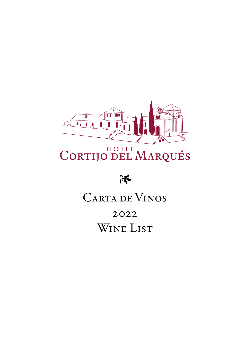

# CORTIJO DEL MARQUÉS



## CARTA DE VINOS

2022 WINE LIST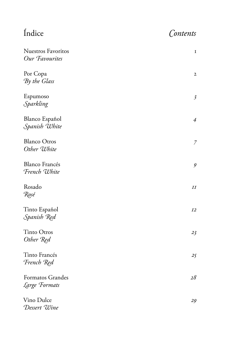Índice *Contents*

| <b>Nuestros Favoritos</b><br>Our Favourites | $\mathbf I$    |
|---------------------------------------------|----------------|
| Por Copa<br>By the Glass                    | $\mathbf{2}$   |
| Espumoso<br>Sparkling                       | $\mathfrak{Z}$ |
| <b>Blanco Español</b><br>Spanish White      | $\overline{A}$ |
| <b>Blanco Otros</b><br>Other White          | 7              |
| <b>Blanco Francés</b><br>French White       | $\mathcal{G}$  |
| Rosado<br>Rosé                              | II             |
| Tinto Español<br>Spanish Red                | I2             |
| <b>Tinto Otros</b><br>Other Red             | 23             |
| Tinto Francés<br>French Red                 | 25             |
| <b>Formatos Grandes</b><br>Large Formats    | 28             |
| Vino Dulce<br>Dessert Wine                  | 29             |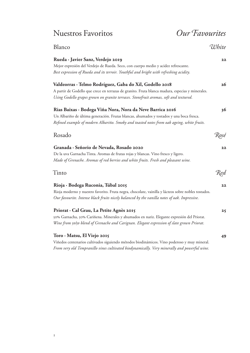## Nuestros Favoritos *Our Favourites*

| Blanco                                                                                              | White |
|-----------------------------------------------------------------------------------------------------|-------|
| Rueda · Javier Sanz, Verdejo 2019                                                                   | 22    |
| Mejor expresión del Verdejo de Rueda. Seco, con cuerpo medio y acidez refrescante.                  |       |
| Best expression of Rueda and its terroir. Youthful and bright with refreshing acidity.              |       |
| Valdeorras · Telmo Rodríguez, Gaba do Xil, Godello 2018                                             | 26    |
| A partir de Godello que crece en terrazas de granito. Fruta blanca madura, especias y minerales.    |       |
| Using Godello grapes grown on granite terraces. Stonefruit aromas, soft and textured.               |       |
| Rias Baixas · Bodega Viña Nora, Nora da Neve Barrica 2016                                           | 36    |
| Un Albariño de última generación. Frutas blancas, ahumados y tostados y una boca fresca.            |       |
| Refined example of modern Albariño. Smoky and toasted notes from oak ageing, white fruits.          |       |
| Rosado                                                                                              | Rosé  |
| Granada · Señorio de Nevada, Rosado 2020                                                            | 22    |
| De la uva Garnacha Tinta. Aromas de frutas rojas y blancas. Vino fresco y ligero.                   |       |
| Made of Grenache. Aromas of red berries and white fruits. Fresh and pleasant wine.                  |       |
| Tinto                                                                                               | Red   |
| Rioja · Bodega Ruconia, Túbal 2015                                                                  | 22    |
| Rioja moderno y nuestro favorito. Fruta negra, chocolate, vainilla y lácteos sobre nobles tostados. |       |
| Our favourite. Intense black fruits nicely balanced by the vanilla notes of oak. Impressive.        |       |
| Priorat · Cal Grau, La Petite Agnès 2015                                                            | 25    |
| 50% Garnacha, 50% Cariñena. Minerales y ahumados en nariz. Elegante expresión del Priorat.          |       |
| Wine from 50/50 blend of Grenache and Carignan. Elegant expression of slate grown Priorat.          |       |
| Toro · Matsu, El Viejo 2015                                                                         | 49    |
| Viñedos centenarios cultivados siguiendo métodos hiodinámicos. Vino poderoso y muy mineral          |       |

Viñedos centenarios cultivados siguiendo métodos biodinámicos. Vino poderoso y muy mineral. *From very old Tempranillo vines cultivated biodynamically. Very minerally and powerful wine.*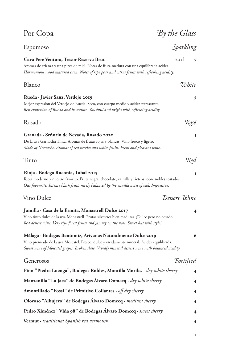| Por Copa                                                                                                                                                                                                                                                      | By the Glass            |
|---------------------------------------------------------------------------------------------------------------------------------------------------------------------------------------------------------------------------------------------------------------|-------------------------|
| Espumoso                                                                                                                                                                                                                                                      | Sparkling               |
| Cava Pere Ventura, Tresor Reserva Brut<br>Aromas de crianza y una pizca de miel. Notas de fruta madura con una equilibrada acidez.<br>Harmonious wood matured cava. Notes of ripe pear and citrus fruits with refreshing acidity.                             | 20 cl<br>$\overline{7}$ |
| Blanco                                                                                                                                                                                                                                                        | White                   |
| Rueda · Javier Sanz, Verdejo 2019<br>Mejor expresión del Verdejo de Rueda. Seco, con cuerpo medio y acidez refrescante.<br>Best expression of Rueda and its terroir. Youthful and bright with refreshing acidity.                                             | 5                       |
| Rosado                                                                                                                                                                                                                                                        | Rosé                    |
| Granada · Señorío de Nevada, Rosado 2020<br>De la uva Garnacha Tinta. Aromas de frutas rojas y blancas. Vino fresco y ligero.<br>Made of Grenache. Aromas of red berries and white fruits. Fresh and pleasant wine.                                           | 5                       |
| Tinto                                                                                                                                                                                                                                                         | Red                     |
| Rioja · Bodega Ruconia, Túbal 2015<br>Rioja moderno y nuestro favorito. Fruta negra, chocolate, vainilla y lácteos sobre nobles tostados.<br>Our favourite. Intense black fruits nicely balanced by the vanilla notes of oak. Impressive.                     |                         |
| Vino Dulce                                                                                                                                                                                                                                                    | Dessert Wine            |
| Jumilla · Casa de la Ermita, Monastrell Dulce 2017<br>Vino tinto dulce de la uva Monastrell. Frutas silvestres bien maduras. ¡Dulce pero no pesado!<br>Red dessert wine. Very ripe forest fruits and jammy on the nose. Sweet but with style!                 | 4                       |
| Málaga · Bodegas Bentomiz, Ariyanas Naturalmente Dulce 2019<br>Vino premiado de la uva Moscatel. Fresco, dulce y vividamente mineral. Acidez equilibrada.<br>Sweet wine of Moscatel grapes. Broken slate. Vividly mineral dessert wine with balanced acidity. | 6                       |
| Generosos                                                                                                                                                                                                                                                     | <b>Fortified</b>        |
| Fino "Piedra Luenga", Bodegas Robles, Montilla Moriles $\cdot$ dry white sherry                                                                                                                                                                               | $\overline{\mathbf{4}}$ |
| Manzanilla "La Jaca" de Bodegas Álvaro Domecq · dry white sherry                                                                                                                                                                                              | $\overline{\mathbf{4}}$ |
| <b>Amontillado "Fossi" de Primitivo Collantes</b> $\cdot$ <i>off dry sherry</i>                                                                                                                                                                               | $\overline{\mathbf{4}}$ |
| Oloroso "Albujero" de Bodegas Álvaro Domecq · medium sherry                                                                                                                                                                                                   | 4                       |
| Pedro Ximénez "Viña 98" de Bodegas Álvaro Domecq · sweet sherry                                                                                                                                                                                               | 4                       |
| <b>Vermut</b> $\cdot$ traditional Spanish red vermouth                                                                                                                                                                                                        | 4                       |
|                                                                                                                                                                                                                                                               | 2                       |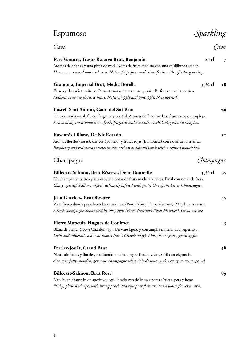## Espumoso *Sparkling*

| Cava                                                                                               |                    | Cava           |
|----------------------------------------------------------------------------------------------------|--------------------|----------------|
| Pere Ventura, Tresor Reserva Brut, Benjamín                                                        | 20 cl              | $\overline{7}$ |
| Aromas de crianza y una pizca de miel. Notas de fruta madura con una equilibrada acidez.           |                    |                |
| Harmonious wood matured cava. Notes of ripe pear and citrus fruits with refreshing acidity.        |                    |                |
| Gramona, Imperial Brut, Media Botella                                                              | $37\frac{1}{2}$ cl | <b>18</b>      |
| Fresco y de carácter cítrico. Presenta notas de manzana y piña. Perfecto con el aperitivo.         |                    |                |
| Authentic cava with citric heart. Notes of apple and pineapple. Nice aperitif.                     |                    |                |
| Castell Sant Antoni, Cami del Sot Brut                                                             |                    | 29             |
| Un cava tradicional, fresco, fragante y versátil. Aromas de finas hierbas, frutos secos, complejo. |                    |                |
| A cava along traditional lines, fresh, fragrant and versatile. Herbal, elegant and complex.        |                    |                |
| Raventós i Blanc, De Nit Rosado                                                                    |                    | 32             |
| Aromas florales (rosas), cítricos (pomelo) y frutas rojas (frambuesa) con notas de la crianza.     |                    |                |
| Raspberry and red currant notes in this rosé cava. Soft minerals with a refined mouth feel.        |                    |                |
| Champagne                                                                                          | Champagne          |                |
| Billecart-Salmon, Brut Réserve, Demi Bouteille                                                     | $37\frac{1}{2}$ cl | 35             |
| Un champán atractivo y sabroso, con notas de fruta madura y flores. Final con notas de fresa.      |                    |                |
| Classy aperitif. Full mouthfeel, delicately infused with fruit. One of the better Champagnes.      |                    |                |
| Jean Graviers, Brut Réserve                                                                        |                    | 45             |
| Vino fresco donde prevalecen las uvas tintas (Pinot Noir y Pinot Meunier). Muy buena textura.      |                    |                |
| A fresh champagne dominated by the pinots (Pinot Noir and Pinot Meunier). Great texture.           |                    |                |
| Pierre Moncuit, Hugues de Coulmet                                                                  |                    | 45             |
| Blanc de blancs (100% Chardonnay). Un vino ligero y con amplia mineralidad. Aperitivo.             |                    |                |
| Light and minerally blanc de blancs (100% Chardonnay). Lime, lemongrass, green apple.              |                    |                |
| Perrier-Jouët, Grand Brut                                                                          |                    | 58             |
| Notas afrutadas y florales, resultando un champagne fresco, vivo y sutil con elegancia.            |                    |                |
| A wonderfully rounded, generous champagne whose joie de vivre makes every moment special.          |                    |                |
| Billecart-Salmon, Brut Rosé                                                                        |                    | 89             |
| Muy buen champán de aperitivo, equilibrado con deliciosas notas cítricas, pera y heno.             |                    |                |

*Fleshy, plush and ripe, with strong peach and ripe pear flavours and a white flower aroma.*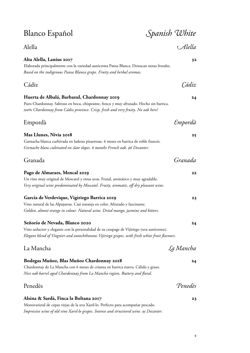## Blanco Español *Spanish White* Alella *Alella* **Alta Alella, Lanius 2017 32** Elaborada principalmente con la variedad autóctona Pansa Blanca. Destacan notas frutales. *Based on the indigenous Pansa Blanca grape. Fruity and herbal aromas.* Cádiz *Cádiz* **Huerta de Albalá, Barbazul, Chardonnay 2019 24** Puro Chardonnay. Sabroso en boca, chispeante, fresco y muy afrutado. Hecho sin barrica. *100% Chardonnay from Cádiz province. Crisp, fresh and very fruity. No oak here!* Empordà *Empordà* **Mas Llunes, Nívia 2018 25** Garnacha blanca curltivada en laderas pizarrosas. 6 meses en barrica de roble francés. *Grenache blanc cultivated on slate slopes. 6 months French oak. 96 Decanter.* Granada *Granada* **Pago de Almaraes, Mencal 2019 22** Un vino muy original de Moscatel y otras uvas. Frutal, aromático y muy agradable. *Very original wine predominated by Moscatel. Fruity, aromatic, off dry pleasant wine.* **García de Verdevique, Vigiriego Barrica 2019 23** Vino natural de las Alpujarras. Casi naranja en color. Afrutado y fascinante. *Golden, almost orange in colour. Natural wine. Dried mango, jasmine and bitters.* **Señorío de Nevada, Blanco 2020 24** Vino seductor y elegante con la personalidad de su coupage de Vijiriego (uva autóctona). *Elegant blend of Viognier and autochthonous Vijiriego grapes, with fresh white fruit flavours.* La Mancha *La Mancha* **Bodegas Muñoz, Blas Muñoz Chardonnay 2018 24** Chardonnay de La Mancha con 6 meses de crianza en barrica nueva. Cálido y graso. *Nice oak barrel aged Chardonnay from La Mancha region. Buttery and floral.* Penedès *Penedès* **Alsina & Sardà, Finca la Boltana 2017 23**

Monovarietal de cepas viejas de la uva Xarel·lo. Perfecto para acompañar pescado. *Impressive wine of old vine Xarel·lo grapes. Intense and structured wine. 95 Decanter.*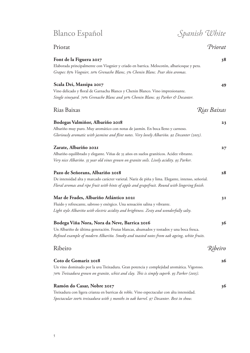5

## Fluido y refrescante, sabroso y enérgico. Una sensación salina y vibrante. *Light style Albariño with electric acidity and brightness. Zesty and wonderfully salty.* Un Albariño de última generación. Frutas blancas, ahumados y tostados y una boca fresca. *Refined example of modern Albariño. Smoky and toasted notes from oak ageing, white fruits.* Ribeiro *Ribeiro* **Coto de Gomariz 2018 26**

Un vino dominado por la uva Treixadura. Gran potencia y complejidad aromática. Vigoroso. *70% Treixadura grown on granite, schist and clay. This is simply superb. 93 Parker (2015).*

**Zarate, Albariño 2021 27** Albariño equilibrado y elegante. Viñas de 35 años en suelos graníticos. Acidez vibrante. *Very nice Albariño. 35 year old vines grown on granite soils. Lively acidity. 93 Parker.*

**Pazo de Señorans, Albariño 2018 28** De intensidad alta y marcado carácter varietal. Nariz de piña y lima. Elegante, intenso, señorial. *Floral aromas and ripe fruit with hints of apple and grapefruit. Round with lingering finish.*

| Mar de Frades, Albariño Atlántico 2021                                     |
|----------------------------------------------------------------------------|
| Fluido y refrescante, sabroso y enérgico. Una sensación salina y vibrante. |

| Mar de Frades, Albariño Atlántico 2021                                                           | 3I |
|--------------------------------------------------------------------------------------------------|----|
| Fluido y refrescante, sabroso y enérgico. Una sensación salina y vibrante.                       |    |
| Light style Albariño with electric acidity and brightness. Zesty and wonderfully salty.          |    |
| Bodega Viña Nora, Nora da Neve, Barrica 2016                                                     | 36 |
| Un Albariño de última generación. Frutas blancas, ahumados y tostados y una boca fresca.         |    |
| Defined accountly of modern Allemine. Constantin by description from only continue white further |    |

Rias Baixas *Rias Baixas*

Albariño muy puro. Muy aromático con notas de jazmín. En boca lleno y carnoso. *Gloriously aromatic with jasmine and flint notes. Very lovely Albariño. 92 Decanter (2015).*

**Bodegas Valmiñor, Albariño 2018 23**

Vino delicado y floral de Garnacha Blanco y Chenin Blanco. Vino impresionante. *Single vineyard. 70% Grenache Blanc and 30% Chenin Blanc. 93 Parker & Decanter.*

Elaborada principalmente con Viognier y criado en barrica. Melocotón, albaricoque y pera. *Grapes: 85% Viognier, 10% Grenache Blanc, 5% Chenin Blanc. Pear skin aromas.*

**Scala Dei, Massipa 2017 49**

## Priorat *Priorat* **Font de la Figuera 2017 38**

### **Ramón do Casar, Nobre 2017 36**

Treixadura con ligera crianza en barricas de roble. Vino espectacular con alta intensidad. *Spectacular 100% treixadura with 3 months in oak barrel. 97 Decanter. Best in show.*

## Blanco Español *Spanish White*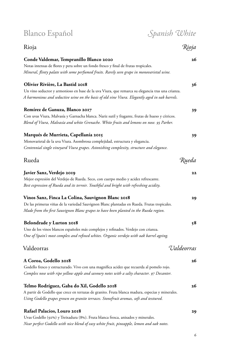| <b>Blanco Español</b>                                                                                                                                                                              | Spanish White                    |
|----------------------------------------------------------------------------------------------------------------------------------------------------------------------------------------------------|----------------------------------|
| Rioja                                                                                                                                                                                              | Rioja                            |
| Conde Valdemar, Tempranillo Blanco 2020                                                                                                                                                            |                                  |
| Notas intensas de flores y pera sobre un fondo fresco y final de frutas tropicales.<br>Mineral, flinty palate with some perfumed fruits. Rarely seen grape in monovarietal wine.                   |                                  |
| Olivier Rivière, La Bastid 2018                                                                                                                                                                    | 36                               |
| Un vino seductor y armonioso en base de la uva Viura, que remarca su elegancia tras una crianza.<br>A harmonious and seductive wine on the basis of old vine Viura. Elegantly aged in oak barrels. |                                  |
| Remírez de Ganuza, Blanco 2017                                                                                                                                                                     | 39                               |
| Con uvas Viura, Malvasía y Garnacha blanca. Nariz sutil y fragante, frutas de hueso y cítricos.<br>Blend of Viura, Malvasía and white Grenache. White fruits and lemons on nose. 93 Parker.        |                                  |
| Marqués de Murrieta, Capellanía 2015                                                                                                                                                               | 39                               |
| Monovarietal de la uva Viura. Asombrosa complejidad, estructura y elegancia.<br>Centennial single vineyard Viura grapes. Astonishing complexity, structure and elegance.                           |                                  |
| Rueda                                                                                                                                                                                              | Rueda                            |
| Javier Sanz, Verdejo 2019                                                                                                                                                                          | 22                               |
| Mejor expresión del Verdejo de Rueda. Seco, con cuerpo medio y acidez refrescante.                                                                                                                 |                                  |
| Best expression of Rueda and its terroir. Youthful and bright with refreshing acidity.                                                                                                             |                                  |
| Vinos Sanz, Finca La Colina, Sauvignon Blanc 2018                                                                                                                                                  | 29                               |
| De las primeras viñas de la variedad Sauvignon Blanc plantadas en Rueda. Frutas tropicales.                                                                                                        |                                  |
| Made from the first Sauvignon Blanc grapes to have been planted in the Rueda region.                                                                                                               |                                  |
| <b>Belondrade y Lurton 2018</b>                                                                                                                                                                    | 58                               |
| Uno de los vinos blancos españoles más complejos y refinados. Verdejo con crianza.                                                                                                                 |                                  |
| One of Spain's most complex and refined whites. Organic verdejo with oak barrel ageing.                                                                                                            |                                  |
| Valdeorras                                                                                                                                                                                         | <i><u><b>T</b>laldeorras</u></i> |
| A Coroa, Godello 2018                                                                                                                                                                              | 26                               |
| Godello fresco y estructurado. Vivo con una magnífica acidez que recuerda al pomelo rojo.<br>Complex nose with ripe yellow apple and savoury notes with a salty character. 97 Decanter.            |                                  |
| Telmo Rodríguez, Gaba do Xil, Godello 2018                                                                                                                                                         | 26                               |
| A partir de Godello que crece en terrazas de granito. Fruta blanca madura, especias y minerales.                                                                                                   |                                  |
| Using Godello grapes grown on granite terraces. Stonefruit aromas, soft and textured.                                                                                                              |                                  |
| Rafael Palacios, Louro 2018                                                                                                                                                                        | 29                               |
| Uvas Godello (92%) y Treixadura (8%). Fruta blanca fresca, anisados y minerales.                                                                                                                   |                                  |

*Near perfect Godello with nice blend of easy white fruit, pineapple, lemon and oak notes.*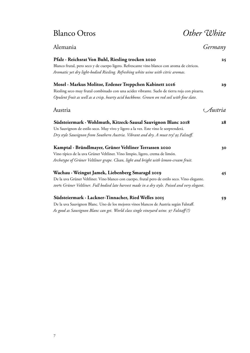## Blanco Otros *Other White*

| Alemania                                                                                       | Germany   |
|------------------------------------------------------------------------------------------------|-----------|
| Pfalz · Reichsrat Von Buhl, Riesling trocken 2020                                              | 25        |
| Blanco frutal, pero seco y de cuerpo ligero. Refrescante vino blanco con aroma de cítricos.    |           |
| Aromatic yet dry light-bodied Riesling. Refreshing white wine with citric aromas.              |           |
| Mosel · Markus Molitor, Erdener Treppchen Kabinett 2016                                        | 29        |
| Riesling seco muy frutal combinado con una acidez vibrante. Suelo de tierra roja con pizarra.  |           |
| Opulent fruit as well as a crisp, hearty acid backbone. Grown on red soil with fine slate.     |           |
| Austria                                                                                        | ( Austria |
| Südsteiermark · Wohlmuth, Kitzeck-Sausal Sauvignon Blanc 2018                                  | 28        |
| Un Sauvignon de estilo seco. Muy vivo y ligero a la vez. Este vino le sorprenderá.             |           |
| Dry style Sauvignon from Southern Austria. Vibrant and dry. A must try! 93 Falstaff.           |           |
| Kamptal · Bründlmayer, Grüner Veltliner Terrassen 2020                                         | 30        |
| Vino típico de la uva Grüner Veltliner. Vino limpio, ligero, crema de limón.                   |           |
| Archetype of Grüner Veltliner grape. Clean, light and bright with lemon-cream fruit.           |           |
| Wachau · Weingut Jamek, Liebenberg Smaragd 2019                                                | 45        |
| De la uva Grüner Veltliner. Vino blanco con cuerpo, frutal pero de estilo seco. Vino elegante. |           |
| 100% Grüner Veltliner. Full bodied late harvest made in a dry style. Poised and very elegant.  |           |
| Südsteiermark · Lackner-Tinnacher, Ried Welles 2015                                            | 59        |
| De la uva Sauvignon Blanc. Uno de los mejores vinos blancos de Austria según Falstaff          |           |

De la uva Sauvignon Blanc. Uno de los mejores vinos blancos de Austria según Falstaff. *As good as Sauvignon Blanc can get. World class single vineyard wine. 97 Falstaff (!)*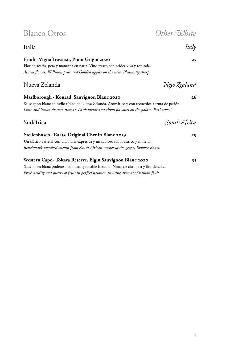## Blanco Otros *Other White*

### Italia *Italy*

### **Friuli ∙ Vigna Traverso, Pinot Grigio 2020 27**

Flor de acacia, pera y manzana en nariz. Vino fresco con acidez viva y rotunda. *Acacia flower, Williams pear and Golden apples on the nose. Pleasantly sharp.*

### Nueva Zelanda *New Zealand*

### **Marlborough ∙ Konrad, Sauvignon Blanc 2020 26**

Sauvignon blanc en estilo típico de Nueva Zelanda. Aromático y con recuerdos a fruta de pasión. *Lime and lemon sherbet aromas. Passionfruit and citrus flavours on the palate. Real savvy!*

### Sudáfrica *South Africa*

### **Stellenbosch ∙ Raats, Original Chenin Blanc 2019 29**

Un clásico varietal con una nariz expresiva y un sabroso sabor cítrico y mineral. *Benchmark unoaked chenin from South African master of the grape, Bruwer Raats.*

### **Western Cape ∙ Tokara Reserve, Elgin Sauvignon Blanc 2020 33**

Sauvignon blanc poderoso con una agradable frescura. Notas de citronela y flor de saúco. *Fresh acidity and purity of fruit in perfect balance. Inviting aromas of passion fruit.*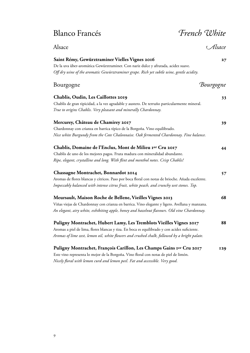## Blanco Francés *French White*

9

| Saint Rémy, Gewürztraminer Vielles Vignes 2016                                                   | 27         |
|--------------------------------------------------------------------------------------------------|------------|
| De la uva über-aromática Gewürztraminer. Con nariz dulce y afrutada, acidez suave.               |            |
| Off dry wine of the aromatic Gewürztraminer grape. Rich yet subtle wine, gentle acidity.         |            |
| Bourgogne                                                                                        | Bourgogne  |
| Chablis, Oudin, Les Caillottes 2019                                                              | 33         |
| Chablis de gran tipicidad, a la vez agradable y austero. De terruño particularmente mineral.     |            |
| True to origins Chablis. Very pleasant and minerally Chardonnay.                                 |            |
| Mercurey, Château de Chamirey 2017                                                               | 39         |
| Chardonnay con crianza en barrica típico de la Borgoña. Vino equilibrado.                        |            |
| Nice white Burgundy from the Cote Chalonnaise. Oak fermented Chardonnay. Fine balance.           |            |
| Chablis, Domaine de l'Enclus, Mont de Milieu Ier Cru 2017                                        | 44         |
| Chablis de uno de los mejores pagos. Fruta madura con mineralidad abundante.                     |            |
| Ripe, elegant, crystalline and long. With flint and menthol notes. Crisp Chablis!                |            |
| Chassagne Montrachet, Bonnardot 2014                                                             | 57         |
| Aromas de flores blancas y cítricos. Paso por boca floral con notas de brioche. Añada excelente. |            |
| Impeccably balanced with intense citrus fruit, white peach, and crunchy wet stones. Top.         |            |
| Meursault, Maison Roche de Bellene, Vieilles Vignes 2013                                         | 68         |
| Viñas viejas de Chardonnay con crianza en barrica. Vino elegante y ligero. Avellana y manzana.   |            |
| An elegant, airy white, exhibiting apple, honey and hazelnut flavours. Old vine Chardonnay.      |            |
| Puligny Montrachet, Hubert Lamy, Les Tremblots Vieilles Vignes 2017                              | 88         |
| Aromas a piel de lima, flores blancas y tiza. En boca es equilibrado y con acidez suficiente.    |            |
| Aromas of lime zest, lemon oil, white flowers and crushed chalk, followed by a bright palate.    |            |
| Puligny Montrachet, François Carillon, Les Champs Gains Ier Cru 2017                             | <b>129</b> |
| Este vino representa lo mejor de la Borgoña. Vino floral con notas de piel de limón.             |            |

Alsace *Alsace*

*Nicely floral with lemon curd and lemon peel. Fat and accessible. Very good.*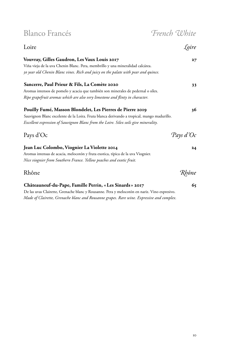Blanco Francés *French White*

| Loire                                                                                      | oire)       |
|--------------------------------------------------------------------------------------------|-------------|
| Vouvray, Gilles Gaudron, Les Vaux Louis 2017                                               | $27^{1}$    |
| Viña vieja de la uva Chenin Blanc. Pera, membrillo y una mineralidad calcárea.             |             |
| 30 year old Chenin Blanc vines. Rich and juicy on the palate with pear and quince.         |             |
| Sancerre, Paul Prieur & Fils, La Comète 2020                                               | 33          |
| Aromas intensos de pomelo y acacia que también son minerales de pedernal o sílex.          |             |
| Ripe grapefruit aromas which are also very limestone and flinty in character.              |             |
| Pouilly Fumé, Masson Blondelet, Les Pierres de Pierre 2019                                 | 36          |
| Sauvignon Blanc excelente de la Loira. Fruta blanca derivando a tropical, mango madurillo. |             |
| Excellent expression of Sauvignon Blanc from the Loire. Silex soils give minerality.       |             |
| Pays d'Oc                                                                                  | Pays d'Oc   |
| Jean Luc Colombo, Viognier La Violette 2014                                                | 24          |
| Aromas intensas de acacia, melocotón y fruta exotica, típica de la uva Viognier.           |             |
| Nice viognier from Southern France. Yellow peaches and exotic fruit.                       |             |
| Rhône                                                                                      |             |
| Châteauneuf-du-Pape, Famille Perrin, «Les Sinards» 2017                                    | Rhône<br>65 |
| De los uyos Cloirette, Grenache blanc y Rousanne, Pero y melocotón en pariz Vino expresivo |             |

De las uvas Clairette, Grenache blanc y Rousanne. Pera y melocotón en nariz. Vino expresivo. *Made of Clairette, Grenache blanc and Rousanne grapes. Rare wine. Expressive and complex.*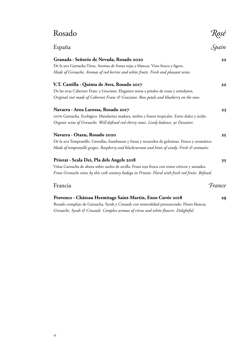## Rosado *Rosé*

| España                                                                                              | Spain  |
|-----------------------------------------------------------------------------------------------------|--------|
| Granada · Señorío de Nevada, Rosado 2020                                                            | 22     |
| De la uva Garnacha Tinta. Aromas de frutas rojas y blancas. Vino fresco y ligero.                   |        |
| Made of Grenache. Aromas of red berries and white fruits. Fresh and pleasant wine.                  |        |
| V.T. Castilla · Quinta de Aves, Rosado 2017                                                         | 22     |
| De las uvas Cabernet Franc y Graciano. Elegantes notas a pétalos de rosas y arándanos.              |        |
| Original rosé made of Cabernet Franc & Graciano. Rose petals and blueberry on the nose.             |        |
| Navarra · Aroa Larossa, Rosado 2017                                                                 | 23     |
| 100% Garnacha. Ecológico. Mandarina madura, melón y frutos tropicales. Entre dulce y ácido.         |        |
| Organic wine of Grenache. Well defined red cherry notes. Lively balance. 91 Decanter.               |        |
| Navarra · Otazu, Rosado 2020                                                                        | 25     |
| De la uva Tempranillo. Grosellas, frambuesas y fresas y recuerdos de golosinas. Fresco y aromático. |        |
| Made of tempranillo grapes. Raspberry and blackcurrant and hints of candy. Fresh & aromatic.        |        |
| Priorat · Scala Dei, Pla dels Angels 2018                                                           | 35     |
| Viñas Garnacha de altura sobre suelos de arcilla. Fruta roja fresca con tonos cítricos y anisados.  |        |
| From Grenache vines by this 12th century bodega in Priorat. Floral with fresh red fruits. Refined.  |        |
| Francia                                                                                             | France |
| Provence · Château Hermitage Saint-Martin, Enzo Cuvée 2018                                          | 29     |
| Rosado complejo de Garnacha, Syrah y Cinsault con mineralidad pronunciado. Flores blancas.          |        |
| Grenache, Syrah & Cinsault. Complex aromas of citrus and white flowers. Delightful.                 |        |
|                                                                                                     |        |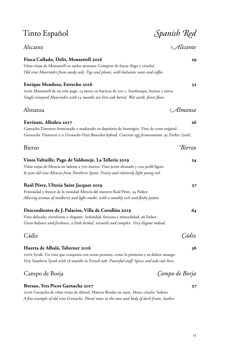## Alicante *Alicante*

#### **Finca Collado, Delit, Monastrell 2016 29**

Viñas viejas de Monastrell en suelos arenosos. Compote de frutas (higo y ciruela). *Old vine Mourvèdre from sandy soils. Figs and plums, with balsamic notes and coffee.*

#### **Enrique Mendoza, Estrecho 2016 32**

100% Monastrell de un solo pago. 14 meses en barricas de 500 l. Sotobosque, humus y tierra. *Single vineyard Mourvèdre with 14 months 500 litre oak barrel. Wet earth, forest floor.*

### Almansa *Almansa*

**Envínate, Albahra 2017 26** Garnacha Tintorera fermentado y madurado en depósitos de hormigón. Vino de corte original. *Garnacha Tintorera is a Grenache-Petit Bouschet hybrid. Concrete egg fermentation. 93 Parker (2016).*

| Bierzo                                                                                   | Rierzo |
|------------------------------------------------------------------------------------------|--------|
| Vinos Valtuille, Pago de Valdoneje, La Tellería 2019                                     | 24     |
| Viñas viejas de Mencía en laderas a 700 metros. Vino joven afrutado y con perfil ligero. |        |
| 85 year old vine Mencía from Northern Spain. Fruity and relatively light young red.      |        |
| Raúl Pérez, Ultreia Saint Jacques 2019                                                   | 27     |
| Frutosidad y frescor de la variedad Mencía del maestro Raúl Pérez. 94 Parker.            |        |
| Alluring aromas of mulberry and light smoke, with a notably rich and fleshy palate.      |        |
| Descendientes de J. Palacios, Villa de Corullón 2019                                     | 64     |
| Vino delicado, envolvente y elegante. Sedosidad, frescura y mineralidad. 96 Parker.      |        |

*Great balance and freshness, a little herbal, versatile and complex. Very elegant indeed.*

Cádiz *Cádiz* **Huerta de Albalá, Taberner 2016 36**

100% Syrah. Un vino que conquista con notas picantes, como la pimienta y su dulzor amargo. *Very Southern Syrah with 18 months in French oak. Powerful stuff. Spices and oak rule here.*

### Campo de Borja *Campo de Borja*

#### **Borsao, Tres Picos Garnacha 2017 27**

100% Garnacha de viñas viejas de altitud. Matices florales en nariz. Mora, ciruela. Sedoso. *A fine example of old vine Grenache. Floral notes in the nose and body of dark fruits, leather.*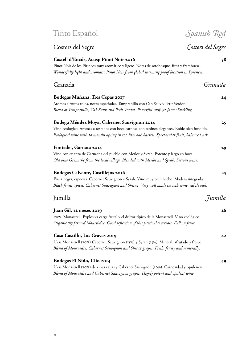### Costers del Segre *Costers del Segre*

#### **Castell d'Encús, Acusp Pinot Noir 2016 58**

Pinot Noir de los Pirineos muy aromático y ligero. Notas de sotobosque, fresa y frambuesa. *Wonderfully light and aromatic Pinot Noir from global warming proof location in Pyrenees.*

### Granada *Granada*

### **Bodegas Muñana, Tres Cepas 2017 24** Aromas a frutos rojos, notas especiadas. Tampranillo con Cab Sauv y Petit Verdot. *Blend of Tempranillo, Cab Sauv and Petit Verdot. Powerful stuff. 92 James Suckling.* **Bodega Méndez Moya, Cabernet Sauvignon 2014 25** Vino ecologico. Aromas a tostados con boca carnosa con taninos elegantes. Roble bien fundido. *Ecological wine with 20 months ageing in 300 litre oak barrels. Spectacular fruit, balanced oak.* **Fontedei, Garnata 2014 29** Vino con crianza de Garnacha del pueblo con Merlot y Syrah. Potente y largo en boca. *Old vine Grenache from the local village. Blended with Merlot and Syrah. Serious wine.* **Bodegas Calvente, Castillejos 2016 35** Fruta negra, especias. Cabernet Sauvignon y Syrah. Vino muy bien hecho. Madera integrada. *Black fruits, spices. Cabernet Sauvignon and Shiraz. Very well made smooth wine, subtle oak.*

### Jumilla *Jumilla*

| Juan Gil, 12 meses 2019                                                                      | 26 |
|----------------------------------------------------------------------------------------------|----|
| 100% Monastrell. Explosiva carga frutal y el dulzor típico de la Monastrell. Vino ecológico. |    |
| Organically farmed Mourvèdre. Good reflection of this particular terroir. Full on fruit.     |    |
| Casa Castillo, Las Gravas 2019                                                               | 42 |
| Uvas Monastrell (70%) Cabernet Sauvignon (15%) y Syrah (15%). Mineral, afrutado y fresco.    |    |
| Blend of Mourvèdre, Cabernet Sauvignon and Shiraz grapes. Fresh, fruity and minerally.       |    |
| Bodegas El Nido, Clio 2014                                                                   |    |

Uvas Monastrell (70%) de viñas viejas y Cabernet Sauvignon (30%). Carnosidad y opulencia. *Blend of Mourvèdre and Cabernet Sauvignon grapes. Highly potent and opulent wine.*

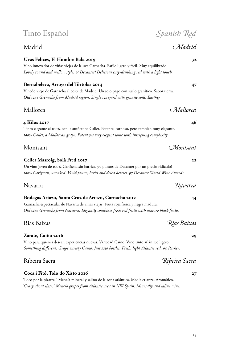### Madrid *Madrid*

### **Uvas Felices, El Hombre Bala 2019 32**

Vino innovador de viñas viejas de la uva Garnacha. Estilo ligero y fácil. Muy equilibrado. *Lovely round and mellow style. 95 Decanter! Delicious easy-drinking red with a light touch.*

### **Bernabeleva, Arroyo del Tórtolas 2014 47**

Viñedo viejo de Garnacha al oeste de Madrid. Un solo pago con suelo granítico. Sabor tierra. *Old vine Grenache from Madrid region. Single vineyard with granite soils. Earthly.*

### Mallorca *Mallorca*

**4 Kilos 2017 46**

Tinto elegante al 100% con la autóctona Callet. Potente, carnoso, pero también muy elegante. *100% Callet; a Mallorcan grape. Potent yet very elegant wine with intriguing complexity.*

Montsant *Montsant*

#### **Celler Masroig, Solà Fred 2017 22**

Un vino joven de 100% Cariñena sin barrica. 97 puntos de Decanter por un precio ridículo! *100% Carignan, unoaked. Vivid prune, herbs and dried berries. 97 Decanter World Wine Awards.*

### Navarra *Navarra*

#### **Bodegas Artazu, Santa Cruz de Artazu, Garnacha 2012 44**

Garnacha espectacular de Navarra de viñas viejas. Fruta roja fresca y negra madura. *Old vine Grenache from Navarra. Elegantly combines fresh red fruits with mature black fruits.*

### Rias Baixas *Rias Baixas*

#### **Zarate, Caiño 2016 29**

Vino para quienes desean experiencias nuevas. Variedad Caiño. Vino tinto atlántico ligero. *Something different. Grape variety Caiño. Just 1250 bottles. Fresh, light Atlantic red. 94 Parker.*

### Ribeira Sacra *Ribeira Sacra*

#### **Coca i Fitó, Tolo do Xisto 2016 27**

"Loco por la pizarra." Mencía mineral y salino de la zona atlántica. Media crianza. Aromático. *"Crazy about slate." Mencía grapes from Atlantic area in NW Spain. Minerally and saline wine.*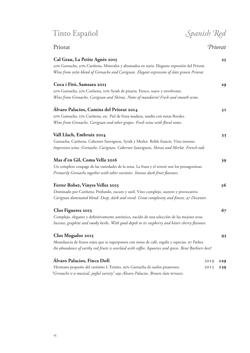Tinto Español *Spanish Red*

| Priorat | Priorat |
|---------|---------|
|         |         |

| Cal Grau, La Petite Agnès 2015<br>50% Garnacha, 50% Cariñena. Minerales y ahumados en nariz. Elegante expresión del Priorat.<br>Wine from 50/50 blend of Grenache and Carignan. Elegant expression of slate grown Priorat.  |              | 25                |
|-----------------------------------------------------------------------------------------------------------------------------------------------------------------------------------------------------------------------------|--------------|-------------------|
| Coca i Fitó, Samsara 2015<br>50% Garnacha, 35% Cariñena, 10% Syrah de pizarra. Fresco, suave y envolvente.<br>Wine from Grenache, Carignan and Shiraz. Notes of mandarin! Fresh and smooth wine.                            |              | 29                |
| Álvaro Palacios, Camins del Priorat 2014<br>50% Garnacha, 15% Cariñena, etc. Piel de fruta madura, sandía con notas florales.<br>Wine from Grenache, Carignan and other grapes. Fresh wine with floral notes.               |              | 3 <sub>1</sub>    |
| Vall Llach, Embruix 2014<br>Garnacha, Cariñena, Cabernet Sauvignon, Syrah y Merlot. Roble francés. Vino intenso.<br>Impressive wine. Grenache, Carignan, Cabernet Sauvignon, Shiraz and Merlot. French oak.                 |              | 33                |
| Mas d'en Gil, Coma Vella 2016<br>Un completo coupage de las variedades de la zona. La fruta y el terroir son los protagonistas.<br>Primarily Grenache together with other varieties. Intense dark fruit flavours.           |              | 39                |
| Ferrer Bobet, Vinyes Velles 2015<br>Dominado por Cariñena. Profundo, oscuro y sutil. Vino complejo, austero y provocativo.<br>Carignan dominated blend. Deep, dark and vivid. Great complexity and finesse. 97 Decanter.    |              | 56                |
| Clos Figueres 2013<br>Complejo, elegante y definitivamente auténtico, nacido de una selección de las mejores uvas.<br>Incense, graphite and smoky herbs. With good depth to its raspberry and bitter cherry flavours.       |              | 67                |
| Clos Mogador 2015<br>Abundancia de frutos rojos que se superponen con notas de café, regaliz y especias. 97 Parker.<br>An abundance of earthy red fruits is overlaid with coffee, liquorice and spices. René Barbiers best! |              | 93                |
| Álvaro Palacios, Finca Dofí<br>Hermano pequeño del carísimo L'Ermita. 95% Garnacha de suelos pizarrosos.                                                                                                                    | 2019<br>2015 | <b>129</b><br>139 |

*"Grenache is a musical, joyful variety" says Álvaro Palacios. Brown slate terraces.*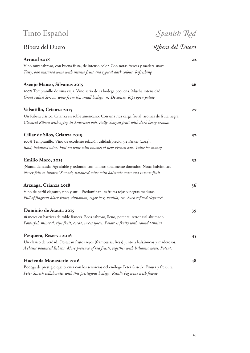## Ribera del Duero *Ribera del Duero*

| Arrocal 2018                                                                                     | 22 |
|--------------------------------------------------------------------------------------------------|----|
| Vino muy sabroso, con buena fruta, de intenso color. Con notas frescas y madera suave.           |    |
| Tasty, oak matured wine with intense fruit and typical dark colour. Refreshing.                  |    |
| Asenjo Manso, Silvanus 2015                                                                      | 26 |
| 100% Tempranillo de viña vieja. Vino serio de es bodega pequeña. Mucha intensidad.               |    |
| Great value! Serious wine from this small bodega. 92 Decanter. Ripe open palate.                 |    |
| Valsotillo, Crianza 2015                                                                         | 27 |
| Un Ribera clásico. Crianza en roble americano. Con una rica carga frutal, aromas de fruta negra. |    |
| Classical Ribera with aging in American oak. Fully charged fruit with dark berry aromas.         |    |
| Cillar de Silos, Crianza 2019                                                                    | 32 |
| 100% Tempranillo. Vino de excelente relación calidad/precio. 92 Parker (2014).                   |    |
| Bold, balanced wine. Full-on fruit with touches of new French oak. Value for money.              |    |
| Emilio Moro, 2015                                                                                | 32 |
| ¡Nunca defrauda! Agradable y redondo con taninos totalmente domados. Notas balsámicas.           |    |
| Never fails to impress! Smooth, balanced wine with balsamic notes and intense fruit.             |    |
| Arzuaga, Crianza 2018                                                                            | 36 |
| Vino de perfil elegante, fino y sutil. Predominan las frutas rojas y negras maduras.             |    |
| Full of fragrant black fruits, cinnamon, cigar box, vanilla, etc. Such refined elegance!         |    |
| Dominio de Atauta 2015                                                                           | 39 |
| 18 meses en barricas de roble francés. Boca sabroso, lleno, potente, retronasal ahumado.         |    |
| Powerful, mineral, ripe fruit, cocoa, sweet spices. Palate is fruity with round tannins.         |    |
| Pesquera, Reserva 2016                                                                           | 45 |
| Un clásico de verdad. Destacan frutos rojos (frambuesa, fresa) junto a balsámicos y maderosos.   |    |
| A classic balanced Ribera. More presence of red fruits, together with balsamic notes. Potent.    |    |
| Hacienda Monasterio 2016                                                                         | 48 |
| Bodega de prestigio que cuenta con los serivicios del enólogo Peter Sisseck. Finura y frescura.  |    |
| Peter Sisseck collaborates with this prestigious bodega. Result: big wine with finesse.          |    |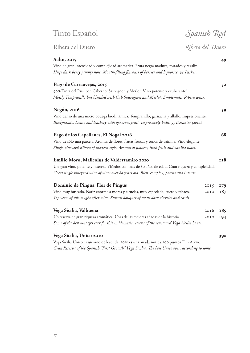### Ribera del Duero *Ribera del Duero*

**Aalto, 2015 49** Vino de gran intensidad y complejidad aromática. Fruta negra madura, tostados y regaliz. *Huge dark berry jammy nose. Mouth-filling flavours of berries and liquorice. 94 Parker.*

**Pago de Carraovejas, 2015 52** 90% Tinta del Pais, con Cabernet Sauvignon y Merlot. Vino potente y exuberante! *Mostly Tempranillo but blended with Cab Sauvignon and Merlot. Emblematic Ribera wine.*

#### **Negón, 2016 59**

Vino denso de una micro bodega biodinámica. Tempranillo, garnacha y albillo. Impresionante. *Biodynamic. Dense and leathery with generous fruit. Impressively built. 95 Decanter (2012).*

#### **Pago de los Capellanes, El Nogal 2016 68**

Vino de sólo una parcela. Aromas de flores, frutas frescas y tonos de vainilla. Vino elegante. *Single vineyard Ribera of modern style. Aromas of flowers, fresh fruit and vanilla notes.*

| Emilio Moro, Malleolus de Valderramiro 2010                                                      | <b>TT8</b> |
|--------------------------------------------------------------------------------------------------|------------|
| Un gran vino, potente y intenso. Viñedos con más de 80 años de edad. Gran riqueza y complejidad. |            |
| Great single vineyard wine of vines over 80 years old. Rich, complex, potent and intense.        |            |

| Dominio de Pingus, Flor de Pingus                                                                                                                                           | $2015$ 179   |            |
|-----------------------------------------------------------------------------------------------------------------------------------------------------------------------------|--------------|------------|
| Vino muy buscado. Nariz enorme a moras y ciruelas, muy especiada, cuero y tabaco.<br>Top years of this sought after wine. Superb bouquet of small dark cherries and cassis. |              | 2010 $187$ |
| Vega Sicilia, Valbuena                                                                                                                                                      | $2016$ $185$ |            |

| Un reserva de gran riqueza aromática. Unas de las mejores añadas de la historia.               | 2010 <b>194</b> |  |
|------------------------------------------------------------------------------------------------|-----------------|--|
| Some of the best vintages ever for this emblematic reserva of the renowned Vega Sicilia house. |                 |  |

#### **Vega Sicilia, Único 2010 390**

Vega Sicilia Único es un vino de leyenda. 2010 es una añada mítica. 100 puntos Tim Atkin. *Gran Reserva of the Spanish "First Growth" Vega Sicilia. The best Único ever, according to some.*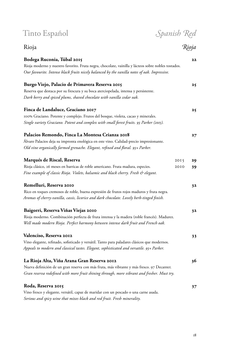| Tinto Español                                                                                                                                                                                                                            |                          |
|------------------------------------------------------------------------------------------------------------------------------------------------------------------------------------------------------------------------------------------|--------------------------|
| Rioja                                                                                                                                                                                                                                    | Spanish Red<br>Rioja     |
| Bodega Ruconia, Túbal 2015<br>Rioja moderno y nuestro favorito. Fruta negra, chocolate, vainilla y lácteos sobre nobles tostados.<br>Our favourite. Intense black fruits nicely balanced by the vanilla notes of oak. Impressive.        | 22                       |
| Burgo Viejo, Palacio de Primavera Reserva 2015<br>Reserva que destaca por su frescura y su boca aterciopelada, intensa y persistente.<br>Dark berry and spiced plums, shaved chocolate with vanilla cedar oak.                           | 25                       |
| Finca de Landaluce, Graciano 2017<br>100% Graciano. Potente y complejo. Frutos del bosque, violeta, cacao y minerales.<br>Single variety Graciano. Potent and complex with small forest fruits. 93 Parker (2015).                        | 25                       |
| Palacios Remondo, Finca La Montesa Crianza 2018<br>Álvaro Palacios deja su impronta enológica en este vino. Calidad-precio impresionante.<br>Old vine organically farmed grenache. Elegant, refined and floral. 93+ Parker.              | $27^{2}$                 |
| <b>Marqués de Riscal, Reserva</b><br>Rioja clásico, 26 meses en barricas de roble americano. Fruta madura, especies.<br>Fine example of classic Rioja. Violets, balsamic and black cherry. Fresh & elegant.                              | 2015<br>29<br>2010<br>39 |
| Remelluri, Reserva 2010<br>Rico en toques cremosos de roble, buena expresión de frutos rojos maduros y fruta negra.<br>Aromas of cherry-vanilla, cassis, licorice and dark chocolate. Lovely herb-tinged finish.                         | 32                       |
| Baigorri, Reserva Viñas Viejas 2010<br>Rioja moderno. Combinación perfecta de fruta intensa y la madera (roble francés). Madurez.<br>Well made modern Rioja. Perfect harmony between intense dark fruit and French oak.                  | 32                       |
| Valenciso, Reserva 2012<br>Vino elegante, refinado, sofisticado y versátil. Tanto para paladares clásicos que modernos.<br>Appeals to modern and classical tastes. Elegant, sophisticated and versatile. 93+ Parker.                     | 33                       |
| La Rioja Alta, Viña Arana Gran Reserva 2012<br>Nueva definición de un gran reserva con más fruta, más vibrante y más fresco. 97 Decanter.<br>Gran reserva redefined with more fruit shining through, more vibrant and fresher. Must try. | 36                       |
| Roda, Reserva 2015<br>Vino fresco y elegante, versátil, capaz de maridar con un pescado o una carne asada.<br>Serious and spicy wine that mixes black and red fruit. Fresh minerality.                                                   | 37                       |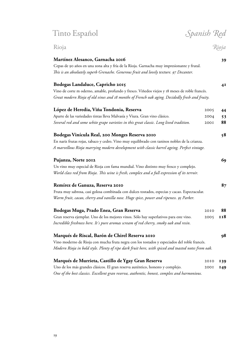Rioja *Rioja*

|   |           | ۰, | ٠<br>٩ |
|---|-----------|----|--------|
| × | . .<br>۰. | ۰. |        |

#### **Martínez Alesanco, Garnacha 2016 39**

#### Cepas de 90 años en una zona alta y fría de la Rioja. Garnacha muy impresionante y frutal. *This is an absolutely superb Grenache. Generous fruit and lovely texture. 97 Decanter.*

### **Bodegas Landaluce, Capricho 2015 41** Vino de corte m oderno, amable, profundo y fresco. Viñedos viejos y 18 meses de roble francés. *Great modern Rioja of old vines and 18 months of French oak aging. Decidedly fresh and fruity.* **López de Heredia, Viña Tondonia, Reserva** Aparte de las variedades tintas lleva Malvasía y Viura. Gran vino clásico. *Several red and some white grape varieties in this great classic. Long lived tradition.* 2005 **44** 2004 **53** 2001 **88 Bodegas Vinícula Real, 200 Monges Reserva 2010 58** En nariz frutas rojas, tabaco y cedro. Vino muy equilibrado con taninos nobles de la crianza. *A marvellous Rioja marrying modern development with classic barrel ageing. Perfect vintage.* **Pujanza, Norte 2012 69** Un vino muy especial de Rioja con fama mundial. Vino distinto muy fresco y complejo. *World class red from Rioja. This wine is fresh, complex and a full expression of its terroir.* **Remírez de Ganuza, Reserva 2010 87** Fruta muy sabrosa, casi golosa combinada con dulces tostados, especias y cacao. Espectacular. *Warm fruit, cacao, cherry and vanilla nose. Huge spice, power and ripeness. 95 Parker.* **Bodegas Muga, Prado Enea, Gran Reserva** Gran reserva ejemplar. Uno de los mejores vinos. Sólo hay superlativos para este vino. *Incredible freshness here. It´s pure aromas scream of red cherry, smoky oak and resin.* 2010 **88** 2005 **118 Marqués de Riscal, Barón de Chirel Reserva 2010 98**

Vino moderno de Rioja con mucha fruta negra con los tostados y especiados del roble francés. *Modern Rioja in bold style. Plenty of ripe dark fruit here, with spiced and toasted notes from oak.*

| Marqués de Murrieta, Castillo de Ygay Gran Reserva                                           |          | 2010 139 |
|----------------------------------------------------------------------------------------------|----------|----------|
| Uno de los más grandes clásicos. El gran reserva auténtico, honesto y complejo.              | 2001 I49 |          |
| One of the best classics. Excellent gran reserva, authentic, honest, complex and harmonious. |          |          |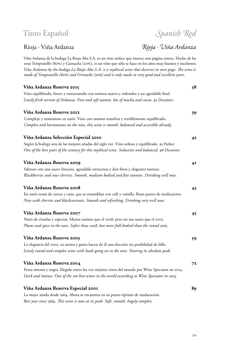## Rioja *∙* Viña Ardanza *Rioja ∙ Viña Ardanza*

| Viña Ardanza by the bodega La Rioja Alta S.A. is a mythical wine that deserves its own page. The wine is<br>made of Tempranillo (80%) and Grenache (20%) and is only made in very good and excellent years. |    |
|-------------------------------------------------------------------------------------------------------------------------------------------------------------------------------------------------------------|----|
| Viña Ardanza Reserva 2015                                                                                                                                                                                   | 38 |
| Vino equilibrado, fresco y estructurado con taninos suaves y redondos y un agradable final.                                                                                                                 |    |
| Lovely fresh version of Ardanza. Fine and soft tannin, lots of mocha and cacao. 93 Decanter.                                                                                                                |    |
| Viña Ardanza Reserva 2012                                                                                                                                                                                   | 39 |
| Complejo y armonioso en nariz. Vino con taninos resueltos y terriblemente equilibrado.                                                                                                                      |    |
| Complex and harmonious on the nose, this wine is smooth, balanced and accessible already.                                                                                                                   |    |
| Viña Ardanza Selección Especial 2010                                                                                                                                                                        | 42 |
| Según la bodega una de las mejores añadas del siglo xxI. Vino sedoso y equilibrado. 95 Parker.                                                                                                              |    |
| One of the best years of the century for this mythical wine. Seductive and balanced. 96 Decanter.                                                                                                           |    |
| Viña Ardanza Reserva 2009                                                                                                                                                                                   | 4I |
| Sabroso con una suave frescura, agradable estructura y don finos y elegantes taninos.                                                                                                                       |    |
| Blackberries and sour cherries. Smooth, medium bodied and fine tannins. Drinking well now.                                                                                                                  |    |
| Viña Ardanza Reserva 2008                                                                                                                                                                                   | 43 |
| En nariz notas de cereza y casis, que se ensamblan con café y vainilla. Buen punto de maduración.                                                                                                           |    |
| Nose with cherries and blackcurrants. Smooth and refreshing. Drinking very well now.                                                                                                                        |    |
| Viña Ardanza Reserva 2007                                                                                                                                                                                   | 45 |
| Nariz de ciruelas y especias. Menos taninos que el 2008, pero no tan suave que el 2005.                                                                                                                     |    |
| Plums and spice in the nose. Softer than 2008, but more full-bodied than the round 2005.                                                                                                                    |    |
| Viña Ardanza Reserva 2005                                                                                                                                                                                   | 59 |
| La elegancia del 2005, su aroma y gusto hacen de él una elección sin posibilidad de fallo.                                                                                                                  |    |
| Lovely round and complex wine with loads going on in the nose. Nearing its absolute peak.                                                                                                                   |    |
| Viña Ardanza Reserva 2004                                                                                                                                                                                   | 72 |
| Fruta intensa y negra. Elegido entro los 100 mejores vinos del mundo por Wine Spectator en 2014.                                                                                                            |    |
| Dark and intense. One of the 100 best wines in the world according to Wine Spectator in 2014.                                                                                                               |    |
| Viña Ardanza Reserva Especial 2001                                                                                                                                                                          | 89 |
| La mejor añada desde 1964. Ahora se encuentra en su punto óptimo de maduración.                                                                                                                             |    |
| Best year since 1964. This wine is now at its peak. Soft, smooth, hugely complex.                                                                                                                           |    |

Viña Ardanza de la bodega La Rioja Alta S.A. es un vino mítico que merece una página entera. Hecho de las uvas Tempranillo (80%) y Garnacha (20%), es un vino que sólo se hace en los años muy buenos y excelentes.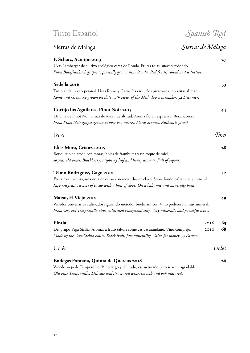Sierras de Málaga *Sierras de Málaga* **F. Schatz, Acinipo 2013 27** Uvas Lemberger de cultivo ecológico cerca de Ronda. Frutas rojas, suave y redondo. *From Blaufränkisch grapes organically grown near Ronda. Red fruits, round and seductive.*

**Sedella 2016 33** Tinto andaluz excepcional. Uvas Romé y Garnacha en suelos pizarrosos con vistas al mar! *Romé and Grenache grown on slate with views of the Med. Top winemaker. 92 Decanter.*

| Cortijo los Aguilares, Pinot Noir 2015                                                 | 44   |
|----------------------------------------------------------------------------------------|------|
| De viña de Pinot Noir a más de 900m de altitud. Aroma floral, expresivo. Boca sabroso. |      |
| From Pinot Noir grapes grown at over 900 metres. Floral aromas. Authentic pinot!       |      |
| Toro                                                                                   | Toro |

**Elias Mora, Crianza 2015 28** Bouquet bien atado con moras, hojas de frambuesa y un toque de miel. *40 year old vines. Blackberry, raspberry leaf and honey aromas. Full of vigour.*

| Telmo Rodríguez, Gago 2015                                                                    | 32 |
|-----------------------------------------------------------------------------------------------|----|
| Fruta roja madura, una nota de cacao con recuerdos de clavo. Sobre fondo balsámico y mineral. |    |
| Ripe red fruits, a note of cacao with a hint of clove. On a balsamic and minerally basis.     |    |

| Matsu, El Viejo 2015                                                                         | 49 |
|----------------------------------------------------------------------------------------------|----|
| Viñedos centenarios cultivados siguiendo métodos biodinámicos. Vino poderoso y muy mineral.  |    |
| From very old Tempranillo vines cultivated biodynamically. Very minerally and powerful wine. |    |

| Pintia<br>Del grupo Vega Sicilia. Aromas a fruto salvaje some casís o arándano. Vino complejo.<br>Made by the Vega Sicilia house. Black fruit, fine minerality. Value for money. 95 Parker. | 2016<br>2010 | 63<br>68 |
|---------------------------------------------------------------------------------------------------------------------------------------------------------------------------------------------|--------------|----------|
| <b>Uclés</b>                                                                                                                                                                                |              | Uclés    |
| Bodegas Fontana, Quinta de Quercus 2018                                                                                                                                                     |              | 26       |

Viñedo viejo de Tempranillo. Vino largo y delicado, estructurado pero suave y agradable. *Old vine Tempranillo. Delicate and structured wine, smooth and oak matured.*

## Tinto Español *Spanish Red*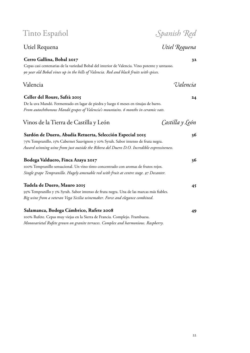### **Cerro Gallina, Bobal 2017 32**

Cepas casi centenarias de la variedad Bobal del interior de Valencia. Vino potente y untuoso. *90 year old Bobal vines up in the hills of Valencia. Red and black fruits with spices.*

### Valencia *Valencia*

**Celler del Roure, Safrà 2015 24**

De la uva Mandó. Fermentado en lagar de piedra y luego 6 meses en tinajas de barro. *From autochthonous Mandó grapes of Valencia's mountains. 6 months in ceramic vats.*

| Sardón de Duero, Abadía Retuerta, Selección Especial 2015<br>75% Tempranillo, 15% Cabernet Sauvignon y 10% Syrah. Sabor intenso de fruta negra.<br>Award winning wine from just outside the Ribera del Duero D.O. Incredible expressiveness. | 36 |
|----------------------------------------------------------------------------------------------------------------------------------------------------------------------------------------------------------------------------------------------|----|
| Bodega Valduero, Finca Azaya 2017<br>100% Tempranillo sensacional. Un vino tinto concentrado con aromas de frutos rojos.<br>Single grape Tempranillo. Hugely amenable red with fruit at centre stage. 97 Decanter.                           | 36 |
| Tudela de Duero, Mauro 2015<br>95% Tempranillo y 5% Syrah. Sabor intenso de fruta negra. Una de las marcas más fiables.<br>Big wine from a veteran Vega Sicilia winemaker. Force and elegance combined.                                      | 45 |

Vinos de la Tierra de Castilla y León *Castilla y León*

**Salamanca, Bodega Cámbrico, Rufete 2008 49** 100% Rufete. Cepas muy viejas en la Sierra de Francia. Complejo. Frambuesa. *Monovarietal Rufete grown on granite terraces. Complex and harmonious. Raspberry.*

### Utiel Requena *Utiel Requena*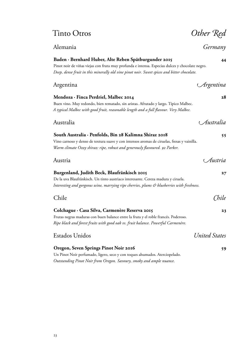## Tinto Otros *Other Red*

Alemania *Germany*

### **Baden ∙ Bernhard Huber, Alte Reben Spätburgunder 2015 44**

Pinot noir de viñas viejas con fruta muy profunda e intensa. Especias dulces y chocolate negro. *Deep, dense fruit in this minerally old vine pinot noir. Sweet spices and bitter chocolate.*

### Argentina *Argentina*

## **Mendoza ∙ Finca Perdriel, Malbec 2014 28**

Buen vino. Muy redondo, bien rematado, sin aristas. Afrutado y largo. Típico Malbec. *A typical Malbec with good fruit, reasonable length and a full flavour. Very Malbec.*

#### Australia *Australia*

#### **South Australia ∙ Penfolds, Bin 28 Kalimna Shiraz 2018 55**

Vino carnoso y denso de textura suave y con intensos aromas de ciruelas, fresas y vainilla. *Warm climate Ozzy shiraz: ripe, robust and generously flavoured. 92 Parker.*

| Austria                                                                                    | Austria |
|--------------------------------------------------------------------------------------------|---------|
| Burgenland, Judith Beck, Blaufränkisch 2015                                                | 27      |
| De la uva Blaufränkisch. Un tinto austriaco interesante. Cereza madura y ciruela.          |         |
| Interesting and gorgeous wine, marrying ripe cherries, plums & blueberries with freshness. |         |

## Chile *Chile* **Colchague ∙ Casa Silva, Carmenère Reserva 2015 23** Frutas negras maduras con buen balance entre la fruta y el roble francés. Poderoso. *Ripe black and forest fruits with good oak vs. fruit balance. Powerful Carmenère.* Estados Unidos *United States*

| Oregon, Seven Springs Pinot Noir 2016                                       | 59 |
|-----------------------------------------------------------------------------|----|
| Un Pinot Noir perfumado, ligero, seco y con toques ahumados. Aterciopelado. |    |
| Outstanding Pinot Noir from Oregon. Savoury, smoky and ample nuance.        |    |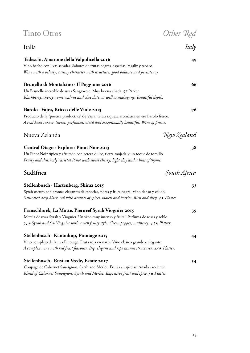| <b>Tinto Otros</b>                                                                                     |                    |
|--------------------------------------------------------------------------------------------------------|--------------------|
| Italia                                                                                                 | Other Red<br>Italy |
| Tedeschi, Amarone della Valpolicella 2016                                                              | 49                 |
| Vino hecho con uvas secadas. Sabores de frutas negras, especias, regaliz y tabaco.                     |                    |
| Wine with a velvety, raisiny character with structure, good balance and persistency.                   |                    |
| Brunello di Montalcino · Il Poggione 2016                                                              | 66                 |
| Un Brunello increíble de uvas Sangiovese. Muy buena añada. 97 Parker.                                  |                    |
| Blackberry, cherry, some walnut and chocolate, as well as mahogany. Beautiful depth.                   |                    |
| Barolo · Vajra, Bricco delle Viole 2013                                                                | 76                 |
| Producto de la "poética productiva" de Vajra. Gran riqueza aromática en ese Barolo fresco.             |                    |
| A real head turner. Sweet, perfumed, vivid and exceptionally beautiful. Wine of finesse.               |                    |
| Nueva Zelanda                                                                                          | New Zealand        |
| Central Otago · Explorer Pinot Noir 2013                                                               | 38                 |
| Un Pinot Noir típico y afrutado con cereza dulce, tierra mojada y un toque de tomillo.                 |                    |
| Fruity and distinctly varietal Pinot with sweet cherry, light clay and a hint of thyme.                |                    |
| Sudáfrica                                                                                              | South Africa       |
| Stellenbosch · Hartenberg, Shiraz 2015                                                                 | 33                 |
| Syrah oscuro con aromas elegantes de especias, flores y fruta negra. Vino denso y cálido.              |                    |
| Saturated deep black-red with aromas of spices, violets and berries. Rich and silky. $4\star$ Platter. |                    |
| Franschhoek, La Motte, Pierneef Syrah Viognier 2015                                                    | 39                 |
| Mezcla de uvas Syrah y Viognier. Un vino muy intenso y frutal. Perfuma de rosas y roble.               |                    |
| 94% Syrah and 6% Viognier with a rich fruity style. Green pepper, mulberry. 4.5 $\star$ Platter.       |                    |
| Stellenbosch · Kanonkop, Pinotage 2015                                                                 | 44                 |
| Vino complejo de la uva Pinotage. Fruta roja en nariz. Vino clásico grande y elegante.                 |                    |
| A complex wine with red fruit flavours. Big, elegant and ripe tannin structures. 4.5 $\star$ Platter.  |                    |
| Stellenbosch · Rust en Vrede, Estate 2017                                                              | 54                 |
| Coupage de Cabernet Sauvignon, Syrah and Merlot. Frutas y especias. Añada excelente.                   |                    |
| Blend of Cabernet Sauvignon, Syrah and Merlot. Expressive fruit and spice. $5\star$ Platter.           |                    |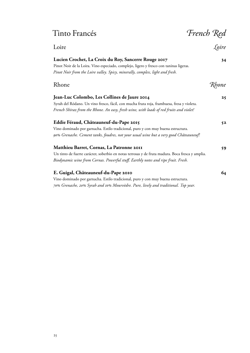## Tinto Francés *French Red*

| Loire                                                                                                                                                                                                                                 |        |
|---------------------------------------------------------------------------------------------------------------------------------------------------------------------------------------------------------------------------------------|--------|
| Lucien Crochet, La Croix du Roy, Sancerre Rouge 2017<br>Pinot Noir de la Loira. Vino especiado, complejo, ligero y fresco con taninas ligeras.<br>Pinot Noir from the Loire valley. Spicy, minerally, complex, light and fresh.       | 34     |
| Rhone                                                                                                                                                                                                                                 | 'Rhone |
| Jean-Luc Colombo, Les Collines de Jaure 2014<br>Syrah del Ródano. Un vino fresco, fácil, con mucha fruta roja, frambuesa, fresa y violeta.<br>French Shiraz from the Rhone. An easy, fresh wine, with loads of red fruits and violet! | 25     |
| Eddie Féraud, Châteauneuf-du-Pape 2015<br>Vino dominado por garnacha. Estilo tradicional, puro y con muy buena estructura.<br>90% Grenache. Cement tanks, foudres, not your usual wine but a very good Châteauneuf!                   | 52     |
| Matthieu Barret, Cornas, La Patronne 2011<br>Un tinto de fuerte carácter, soberbio en notas terrosas y de fruta madura. Boca fresca y amplia.<br>Biodynamic wine from Cornas. Powerful stuff. Earthly notes and ripe fruit. Fresh.    | 59     |
| E. Guigal, Châteauneuf-du-Pape 2010<br>Vino dominado por garnacha. Estilo tradicional, puro y con muy buena estructura.                                                                                                               | 64     |

*70% Grenache, 20% Syrah and 10% Mourvèdre. Pure, lively and traditional. Top year.*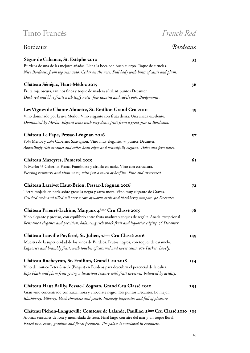## Tinto Francés *French Red* Bordeaux *Bordeaux* **Ségur de Cabanac, St. Estèphe 2010 33** Burdeos de una de las mejores añadas. Llena la boca con buen cuerpo. Toque de ciruelas. *Nice Bordeaux from top year 2010. Cedar on the nose. Full body with hints of cassis and plum.* **Château Sénéjac, Haut-Médoc 2015 36** Fruta roja oscura, taninos finos y toque de madera sútil. 93 puntos Decanter. *Dark red and blue fruits with leafy notes, fine tannins and subtle oak. Biodynamic.* **Les Vignes de Chante Alouette, St. Emilion Grand Cru 2010 49** Vino dominado por la uva Merlot. Vino elegante con fruta densa. Una añada excelente. *Dominated by Merlot. Elegant wine with very dense fruit from a great year in Bordeaux.* **Château Le Pape, Pessac-Léognan 2016 57** 80% Merlot y 20% Cabernet Sauvignon. Vino muy elegante. 93 puntos Decanter. *Appealingly rich caramel and coffee bean edges and beautifully elegant. Violet and fern notes.* **Château Mazeyres, Pomerol 2015 63** ¾ Merlot ¼ Cabernet Franc. Frambuesa y ciruela en nariz. Vino con estructura. *Pleasing raspberry and plum notes, with just a touch of beef jus. Fine and structured.* **Château Larrivet Haut-Brion, Pessac-Léognan 2016 72** Tierra mojada en nariz sobre grosella negra y zarza mora. Vino muy elegante de Graves. *Crushed rocks and tilled soil over a core of warm cassis and blackberry compote. 94 Decanter.* **Château Prieuré-Lichine, Margaux 4ème Cru Classé 2015 78** Vino elegante y preciso, con equilibrio entre fruta madura y toques de regaliz. Añada excepcional. *Restrained elegance and precision, balancing rich black fruit and liquorice edging. 96 Decanter.* **Château Leoville Poyferré, St. Julien, 2ème Cru Classé 2016 149** Muestra de la superioridad de los vinos de Burdeos. Frutos negros, con toques de caramelo. *Liquorice and brambly fruit, with touches of caramel and sweet cassis. 97+ Parker. Lovely.* **Château Rocheyron, St. Emilion, Grand Cru 2018 154** Vino del mítico Peter Sisseck (Pingus) en Burdeos para descubrir el potencial de la caliza. *Ripe black and plum fruit giving a luxurious texture with fruit sweetness balanced by acidity.* **Château Haut Bailly, Pessac-Léognan, Grand Cru Classé 2010 235** Gran vino concentrado con zarza mora y chocolate negro. 100 puntos Decanter. Lo mejor. *Blackberry, bilberry, black chocolate and pencil. Intensely impressive and full of pleasure.* **Château Pichon-Longueville Comtesse de Lalande, Pauillac, 2ème Cru Classé 2010 305**

Aromas sensuales de rosa y mermelada de fresa. Final largo con aire del mar y un toque floral. *Faded rose, cassis, graphite and floral freshness. The palate is enveloped in cashmere.*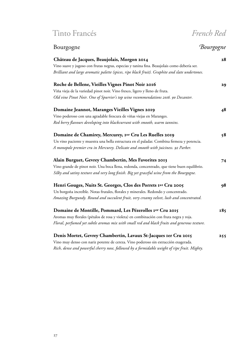## Tinto Francés *French Red*

## Bourgogne *Bourgogne* **Château de Jacques, Beaujolais, Morgon 2014 28** Vino suave y jugoso con frutas negras, especias y tanina fina. Beaujolais como debería ser. *Brilliant and large aromatic palette (spices, ripe black fruit). Graphite and slate undertones.* **Roche de Bellene, Vieilles Vignes Pinot Noir 2016 29** Viña vieja de la variedad pinot noir. Vino fresco, ligero y lleno de fruta. *Old vine Pinot Noir. One of Spurrier's top wine recommendations 2016. 90 Decanter.* **Domaine Jeannot, Maranges Vieilles Vignes 2019 48** Vino poderoso con una agradable frescura de viñas viejas en Maranges. *Red berry flavours developing into blackcurrant with smooth, warm tannins.* **Domaine de Chamirey, Mercurey, 1er Cru Les Ruelles 2019 58** Un vino paciente y muestra una bella estructura en el paladar. Combina firmeza y potencia. *A monopole premier cru in Mercurey. Delicate and smooth with juiciness. 92 Parker.* **Alain Burguet, Gevrey Chambertin, Mes Favorites 2013 74** Vino grande de pinot noir. Una boca llena, redonda, concentrado, que tiene buen equilibrio. *Silky and satiny texture and very long finish. Big yet graceful wine from the Bourgogne.* **Henri Gouges, Nuits St. Georges, Clos des Porrets 1er Cru 2005 98** Un borgoña increíble. Notas frutales, florales y minerales. Redondo y concentrado. *Amazing Burgundy. Round and succulent fruit, very creamy velvet, lush and concentrated.* **Domaine de Montille, Pommard, Les Pézerolles 1er Cru 2015 185** Aromas muy florales (pétalos de rosa y violeta) en combinación con fruta negra y roja. *Floral, perfumed yet subtle aromas mix with small red and black fruits and generous texture.* **Denis Mortet, Gevrey Chambertin, Lavaux St-Jacques 1er Cru 2015 255** Vino muy denso con nariz potente de cereza. Vino poderoso sin extracción exagerada. *Rich, dense and powerful cherry nose, followed by a formidable weight of ripe fruit. Mighty.*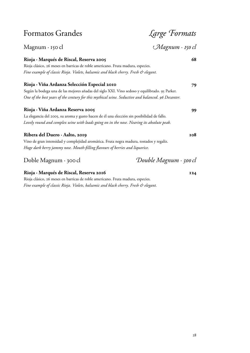| Ribera del Duero · Aalto, 2019<br>Vino de gran intensidad y complejidad aromática. Fruta negra madura, tostados y regaliz.                                                                                                                          | <b>108</b>      |
|-----------------------------------------------------------------------------------------------------------------------------------------------------------------------------------------------------------------------------------------------------|-----------------|
| Rioja · Viña Ardanza Reserva 2005<br>La elegancia del 2005, su aroma y gusto hacen de él una elección sin posibilidad de fallo.<br>Lovely round and complex wine with loads going on in the nose. Nearing its absolute peak.                        | 99              |
| Rioja · Viña Ardanza Selección Especial 2010<br>Según la bodega una de las mejores añadas del siglo XXI. Vino sedoso y equilibrado. 95 Parker.<br>One of the best years of the century for this mythical wine. Seductive and balanced. 96 Decanter. | 79              |
| Rioja · Marqués de Riscal, Reserva 2005<br>Rioja clásico, 26 meses en barricas de roble americano. Fruta madura, especies.<br>Fine example of classic Rioja. Violets, balsamic and black cherry. Fresh & elegant.                                   | 68              |
| Magnum · 150 cl                                                                                                                                                                                                                                     | Magnum · 150 cl |
| Formatos Grandes                                                                                                                                                                                                                                    | Large Formats   |

Rioja clásico, 26 meses en barricas de roble americano. Fruta madura, especies. *Fine example of classic Rioja. Violets, balsamic and black cherry. Fresh & elegant.*